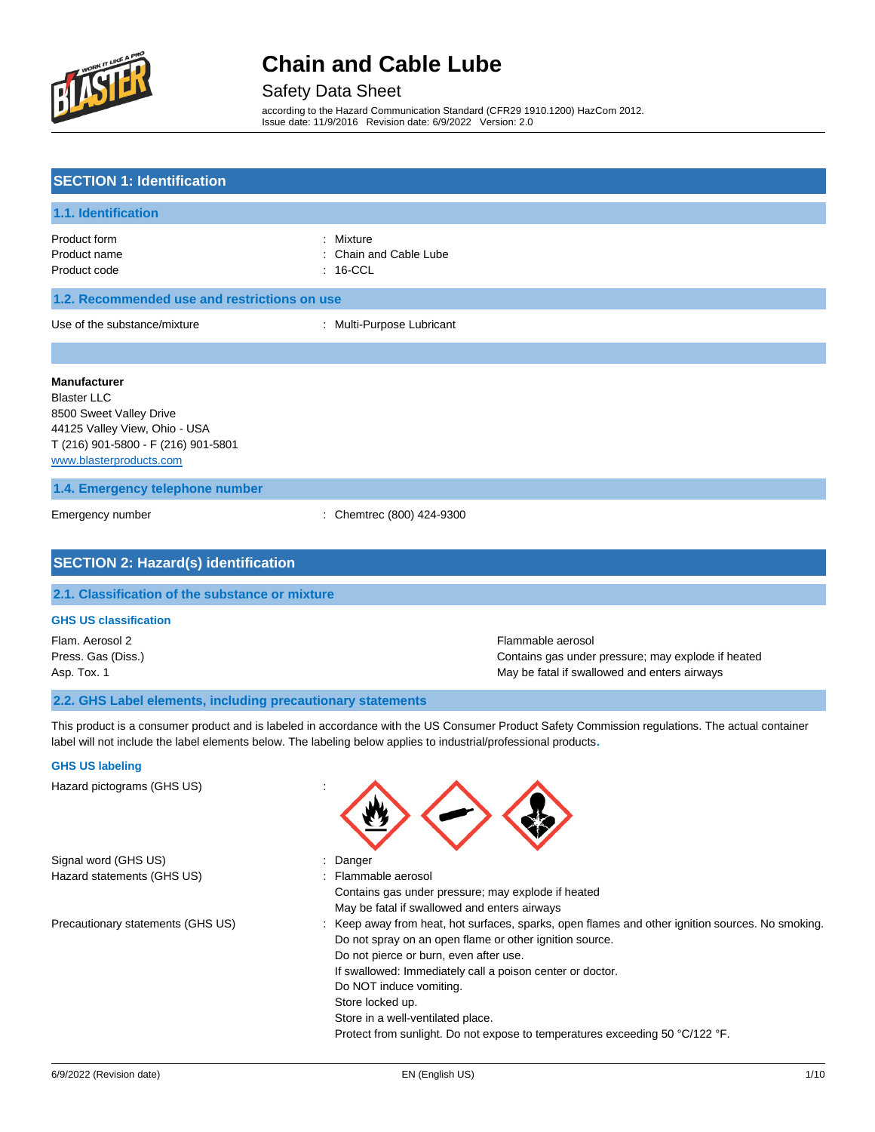

### Safety Data Sheet

according to the Hazard Communication Standard (CFR29 1910.1200) HazCom 2012. Issue date: 11/9/2016 Revision date: 6/9/2022 Version: 2.0

## **SECTION 1: Identification 1.1. Identification** Product form : Nixture : Mixture Product name **in the capacitance** of the chain and Cable Lube Product code : 16-CCL **1.2. Recommended use and restrictions on use** Use of the substance/mixture : Multi-Purpose Lubricant **Manufacturer** Blaster LLC 8500 Sweet Valley Drive 44125 Valley View, Ohio - USA T (216) 901-5800 - F (216) 901-5801 [www.blasterproducts.com](http://www.blasterproducts.com/) **1.4. Emergency telephone number** Emergency number : Chemtrec (800) 424-9300 **SECTION 2: Hazard(s) identification 2.1. Classification of the substance or mixture**

### **GHS US classification**

Flam. Aerosol 2 Flammable aerosol Press. Gas (Diss.) Contains gas under pressure; may explode if heated Asp. Tox. 1 May be fatal if swallowed and enters airways

#### **2.2. GHS Label elements, including precautionary statements**

This product is a consumer product and is labeled in accordance with the US Consumer Product Safety Commission regulations. The actual container label will not include the label elements below. The labeling below applies to industrial/professional products**.**

#### **GHS US labeling**

Hazard pictograms (GHS US) : Signal word (GHS US)  $\qquad \qquad$ : Danger Hazard statements (GHS US) The Statements (GHS US) Statements and Muslim Control of the Statements of the Statements and Muslim Control of the Muslim Control of the Muslim Control of the Muslim Control of the Muslim Contro Contains gas under pressure; may explode if heated May be fatal if swallowed and enters airways Precautionary statements (GHS US) : Keep away from heat, hot surfaces, sparks, open flames and other ignition sources. No smoking. Do not spray on an open flame or other ignition source. Do not pierce or burn, even after use. If swallowed: Immediately call a poison center or doctor. Do NOT induce vomiting. Store locked up. Store in a well-ventilated place. Protect from sunlight. Do not expose to temperatures exceeding 50 °C/122 °F.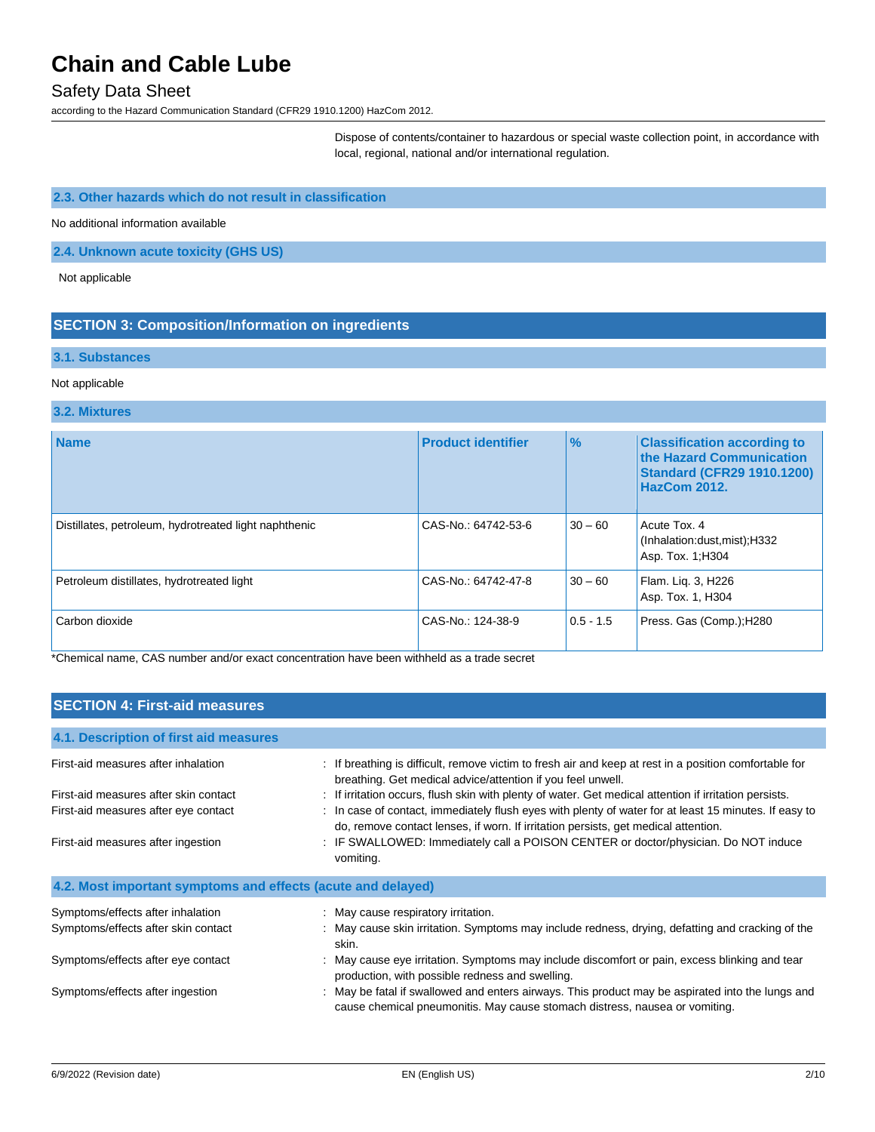### Safety Data Sheet

according to the Hazard Communication Standard (CFR29 1910.1200) HazCom 2012.

Dispose of contents/container to hazardous or special waste collection point, in accordance with local, regional, national and/or international regulation.

### **2.3. Other hazards which do not result in classification**

No additional information available

## **2.4. Unknown acute toxicity (GHS US)**

Not applicable

## **SECTION 3: Composition/Information on ingredients**

#### **3.1. Substances**

#### Not applicable

#### **3.2. Mixtures**

| <b>Name</b>                                           | <b>Product identifier</b> | $\frac{1}{2}$ | <b>Classification according to</b><br>the Hazard Communication<br><b>Standard (CFR29 1910.1200)</b><br><b>HazCom 2012.</b> |
|-------------------------------------------------------|---------------------------|---------------|----------------------------------------------------------------------------------------------------------------------------|
| Distillates, petroleum, hydrotreated light naphthenic | CAS-No.: 64742-53-6       | $30 - 60$     | Acute Tox, 4<br>(Inhalation:dust, mist); H332<br>Asp. Tox. 1; H304                                                         |
| Petroleum distillates, hydrotreated light             | CAS-No.: 64742-47-8       | $30 - 60$     | Flam. Lig. 3, H226<br>Asp. Tox. 1, H304                                                                                    |
| Carbon dioxide                                        | CAS-No.: 124-38-9         | $0.5 - 1.5$   | Press. Gas (Comp.); H280                                                                                                   |

\*Chemical name, CAS number and/or exact concentration have been withheld as a trade secret

| <b>SECTION 4: First-aid measures</b>                         |                                                                                                                                                                                             |  |
|--------------------------------------------------------------|---------------------------------------------------------------------------------------------------------------------------------------------------------------------------------------------|--|
|                                                              |                                                                                                                                                                                             |  |
| 4.1. Description of first aid measures                       |                                                                                                                                                                                             |  |
| First-aid measures after inhalation                          | : If breathing is difficult, remove victim to fresh air and keep at rest in a position comfortable for<br>breathing. Get medical advice/attention if you feel unwell.                       |  |
| First-aid measures after skin contact                        | : If irritation occurs, flush skin with plenty of water. Get medical attention if irritation persists.                                                                                      |  |
| First-aid measures after eye contact                         | : In case of contact, immediately flush eyes with plenty of water for at least 15 minutes. If easy to<br>do, remove contact lenses, if worn. If irritation persists, get medical attention. |  |
| First-aid measures after ingestion                           | : IF SWALLOWED: Immediately call a POISON CENTER or doctor/physician. Do NOT induce<br>vomiting.                                                                                            |  |
| 4.2. Most important symptoms and effects (acute and delayed) |                                                                                                                                                                                             |  |
| Symptoms/effects after inhalation                            | : May cause respiratory irritation.                                                                                                                                                         |  |
| Symptoms/effects after skin contact                          | : May cause skin irritation. Symptoms may include redness, drying, defatting and cracking of the<br>skin.                                                                                   |  |
| Symptoms/effects after eye contact                           | : May cause eye irritation. Symptoms may include discomfort or pain, excess blinking and tear<br>production, with possible redness and swelling.                                            |  |
| Symptoms/effects after ingestion                             | : May be fatal if swallowed and enters airways. This product may be aspirated into the lungs and<br>cause chemical pneumonitis. May cause stomach distress, nausea or vomiting.             |  |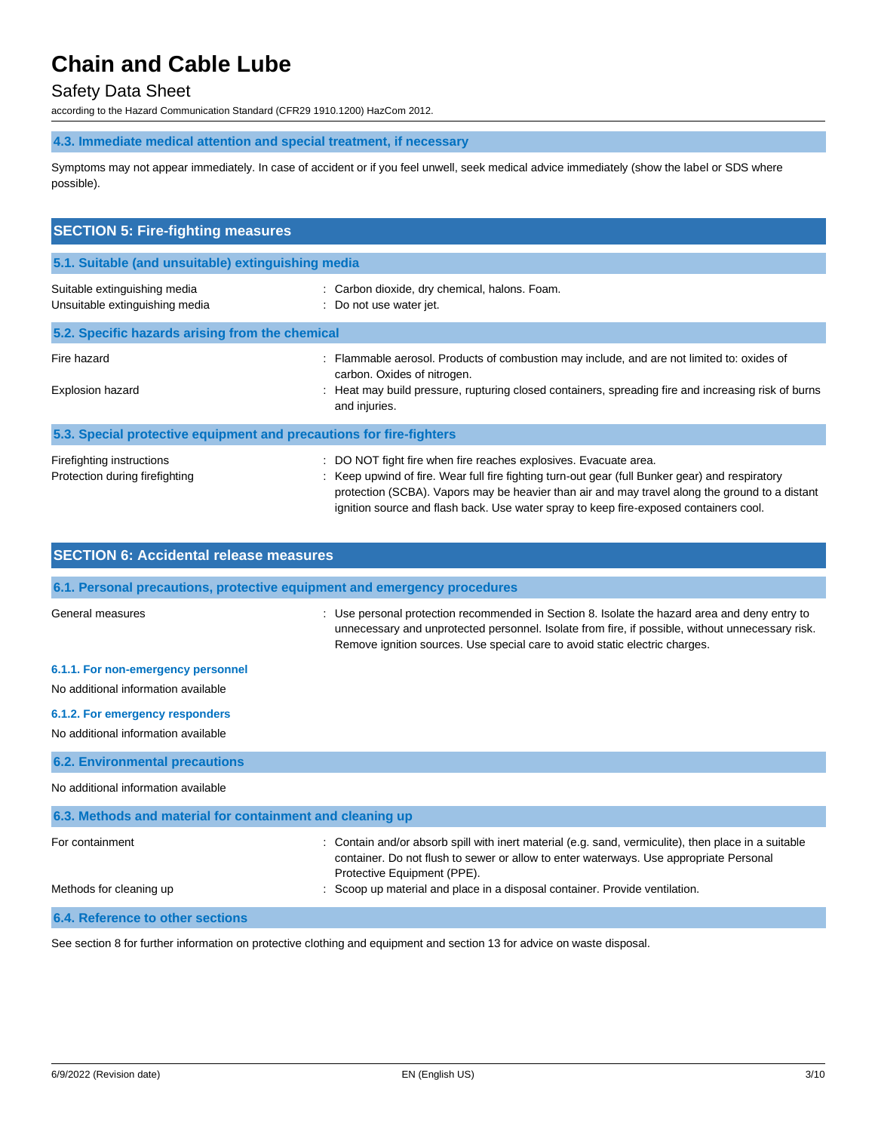## Safety Data Sheet

according to the Hazard Communication Standard (CFR29 1910.1200) HazCom 2012.

**4.3. Immediate medical attention and special treatment, if necessary**

Symptoms may not appear immediately. In case of accident or if you feel unwell, seek medical advice immediately (show the label or SDS where possible).

| <b>SECTION 5: Fire-fighting measures</b>                            |                                                                                                                                                                                                                                                                                                                                                                |  |  |
|---------------------------------------------------------------------|----------------------------------------------------------------------------------------------------------------------------------------------------------------------------------------------------------------------------------------------------------------------------------------------------------------------------------------------------------------|--|--|
| 5.1. Suitable (and unsuitable) extinguishing media                  |                                                                                                                                                                                                                                                                                                                                                                |  |  |
| Suitable extinguishing media<br>Unsuitable extinguishing media      | : Carbon dioxide, dry chemical, halons. Foam.<br>: Do not use water jet.                                                                                                                                                                                                                                                                                       |  |  |
| 5.2. Specific hazards arising from the chemical                     |                                                                                                                                                                                                                                                                                                                                                                |  |  |
| Fire hazard<br>Explosion hazard                                     | Flammable aerosol. Products of combustion may include, and are not limited to: oxides of<br>carbon. Oxides of nitrogen.<br>Heat may build pressure, rupturing closed containers, spreading fire and increasing risk of burns<br>and injuries.                                                                                                                  |  |  |
| 5.3. Special protective equipment and precautions for fire-fighters |                                                                                                                                                                                                                                                                                                                                                                |  |  |
| Firefighting instructions<br>Protection during firefighting         | : DO NOT fight fire when fire reaches explosives. Evacuate area.<br>: Keep upwind of fire. Wear full fire fighting turn-out gear (full Bunker gear) and respiratory<br>protection (SCBA). Vapors may be heavier than air and may travel along the ground to a distant<br>ignition source and flash back. Use water spray to keep fire-exposed containers cool. |  |  |

| <b>SECTION 6: Accidental release measures</b>                            |                                                                                                                                                                                                                                                                                  |  |  |
|--------------------------------------------------------------------------|----------------------------------------------------------------------------------------------------------------------------------------------------------------------------------------------------------------------------------------------------------------------------------|--|--|
| 6.1. Personal precautions, protective equipment and emergency procedures |                                                                                                                                                                                                                                                                                  |  |  |
| General measures                                                         | : Use personal protection recommended in Section 8. Isolate the hazard area and deny entry to<br>unnecessary and unprotected personnel. Isolate from fire, if possible, without unnecessary risk.<br>Remove ignition sources. Use special care to avoid static electric charges. |  |  |
| 6.1.1. For non-emergency personnel                                       |                                                                                                                                                                                                                                                                                  |  |  |
| No additional information available                                      |                                                                                                                                                                                                                                                                                  |  |  |
| 6.1.2. For emergency responders                                          |                                                                                                                                                                                                                                                                                  |  |  |
| No additional information available                                      |                                                                                                                                                                                                                                                                                  |  |  |
| <b>6.2. Environmental precautions</b>                                    |                                                                                                                                                                                                                                                                                  |  |  |
| No additional information available                                      |                                                                                                                                                                                                                                                                                  |  |  |
| 6.3. Methods and material for containment and cleaning up                |                                                                                                                                                                                                                                                                                  |  |  |
| For containment                                                          | Contain and/or absorb spill with inert material (e.g. sand, vermiculite), then place in a suitable<br>container. Do not flush to sewer or allow to enter waterways. Use appropriate Personal<br>Protective Equipment (PPE).                                                      |  |  |
| Methods for cleaning up                                                  | Scoop up material and place in a disposal container. Provide ventilation.                                                                                                                                                                                                        |  |  |
| 6.4. Reference to other sections                                         |                                                                                                                                                                                                                                                                                  |  |  |

See section 8 for further information on protective clothing and equipment and section 13 for advice on waste disposal.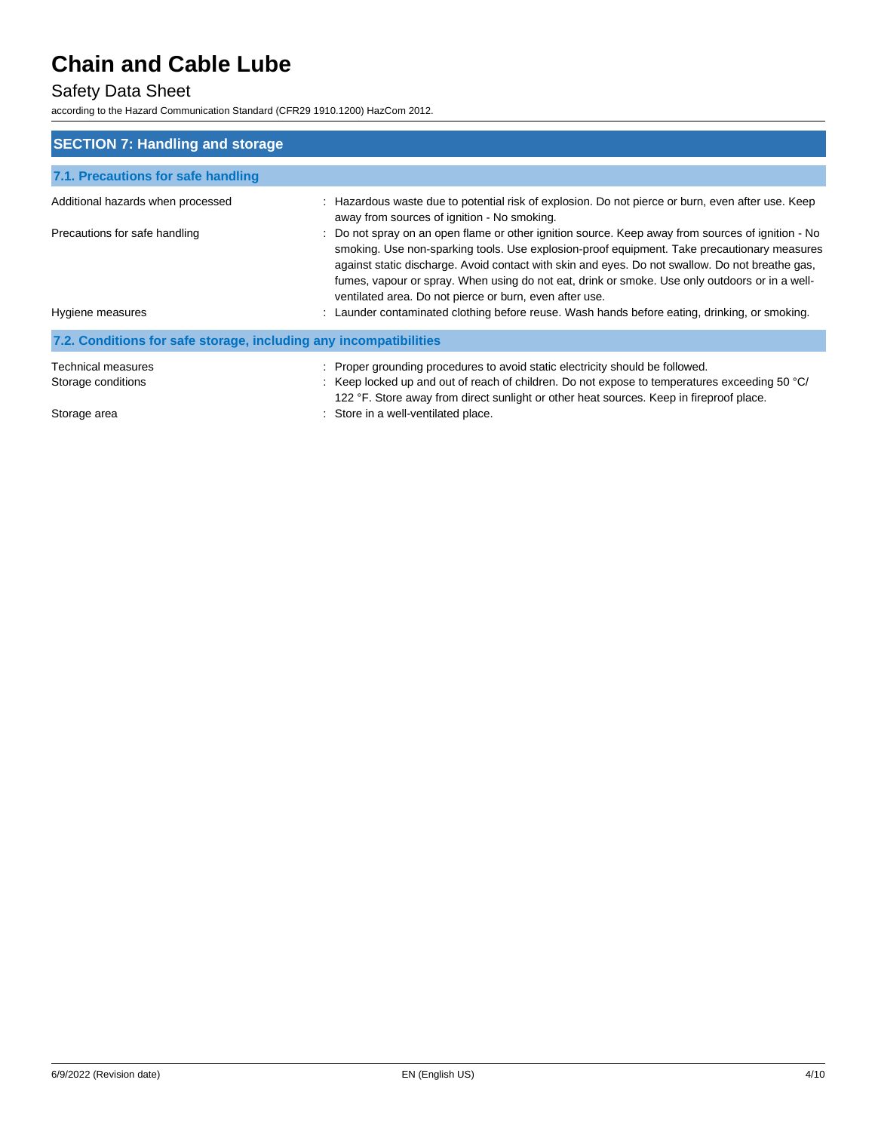## Safety Data Sheet

according to the Hazard Communication Standard (CFR29 1910.1200) HazCom 2012.

| <b>SECTION 7: Handling and storage</b>                            |                                                                                                                                                                                                                                                                                                                                                                                                                                                                  |
|-------------------------------------------------------------------|------------------------------------------------------------------------------------------------------------------------------------------------------------------------------------------------------------------------------------------------------------------------------------------------------------------------------------------------------------------------------------------------------------------------------------------------------------------|
| 7.1. Precautions for safe handling                                |                                                                                                                                                                                                                                                                                                                                                                                                                                                                  |
| Additional hazards when processed                                 | : Hazardous waste due to potential risk of explosion. Do not pierce or burn, even after use. Keep<br>away from sources of ignition - No smoking.                                                                                                                                                                                                                                                                                                                 |
| Precautions for safe handling                                     | : Do not spray on an open flame or other ignition source. Keep away from sources of ignition - No<br>smoking. Use non-sparking tools. Use explosion-proof equipment. Take precautionary measures<br>against static discharge. Avoid contact with skin and eyes. Do not swallow. Do not breathe gas,<br>fumes, vapour or spray. When using do not eat, drink or smoke. Use only outdoors or in a well-<br>ventilated area. Do not pierce or burn, even after use. |
| Hygiene measures                                                  | : Launder contaminated clothing before reuse. Wash hands before eating, drinking, or smoking.                                                                                                                                                                                                                                                                                                                                                                    |
| 7.2. Conditions for safe storage, including any incompatibilities |                                                                                                                                                                                                                                                                                                                                                                                                                                                                  |
| Technical measures                                                | : Proper grounding procedures to avoid static electricity should be followed.                                                                                                                                                                                                                                                                                                                                                                                    |
| Storage conditions                                                | : Keep locked up and out of reach of children. Do not expose to temperatures exceeding 50 °C/<br>122 °F. Store away from direct sunlight or other heat sources. Keep in fireproof place.                                                                                                                                                                                                                                                                         |
| Storage area                                                      | Store in a well-ventilated place.                                                                                                                                                                                                                                                                                                                                                                                                                                |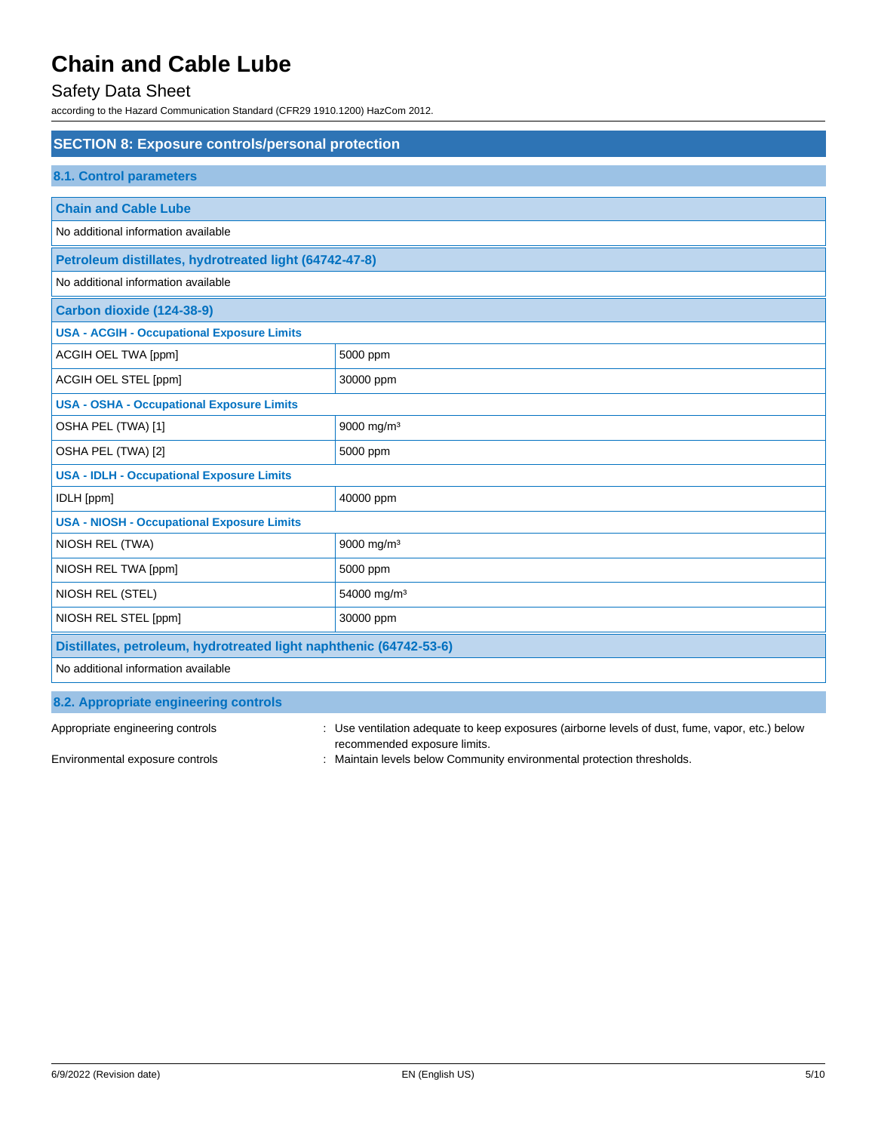## Safety Data Sheet

according to the Hazard Communication Standard (CFR29 1910.1200) HazCom 2012.

| <b>SECTION 8: Exposure controls/personal protection</b>            |                         |  |
|--------------------------------------------------------------------|-------------------------|--|
| <b>8.1. Control parameters</b>                                     |                         |  |
| <b>Chain and Cable Lube</b>                                        |                         |  |
| No additional information available                                |                         |  |
| Petroleum distillates, hydrotreated light (64742-47-8)             |                         |  |
| No additional information available                                |                         |  |
| Carbon dioxide (124-38-9)                                          |                         |  |
| <b>USA - ACGIH - Occupational Exposure Limits</b>                  |                         |  |
| ACGIH OEL TWA [ppm]                                                | 5000 ppm                |  |
| ACGIH OEL STEL [ppm]                                               | 30000 ppm               |  |
| <b>USA - OSHA - Occupational Exposure Limits</b>                   |                         |  |
| OSHA PEL (TWA) [1]                                                 | 9000 mg/m <sup>3</sup>  |  |
| OSHA PEL (TWA) [2]                                                 | 5000 ppm                |  |
| <b>USA - IDLH - Occupational Exposure Limits</b>                   |                         |  |
| IDLH [ppm]                                                         | 40000 ppm               |  |
| <b>USA - NIOSH - Occupational Exposure Limits</b>                  |                         |  |
| NIOSH REL (TWA)                                                    | 9000 mg/m <sup>3</sup>  |  |
| NIOSH REL TWA [ppm]                                                | 5000 ppm                |  |
| NIOSH REL (STEL)                                                   | 54000 mg/m <sup>3</sup> |  |
| NIOSH REL STEL [ppm]                                               | 30000 ppm               |  |
| Distillates, petroleum, hydrotreated light naphthenic (64742-53-6) |                         |  |
| No additional information available                                |                         |  |
| 8.2. Appropriate engineering controls                              |                         |  |

| Appropriate engineering controls | Use ventilation adequate to keep exposures (airborne levels of dust, fume, vapor, etc.) below |
|----------------------------------|-----------------------------------------------------------------------------------------------|
|                                  | recommended exposure limits.                                                                  |
| Environmental exposure controls  | Maintain levels below Community environmental protection thresholds.                          |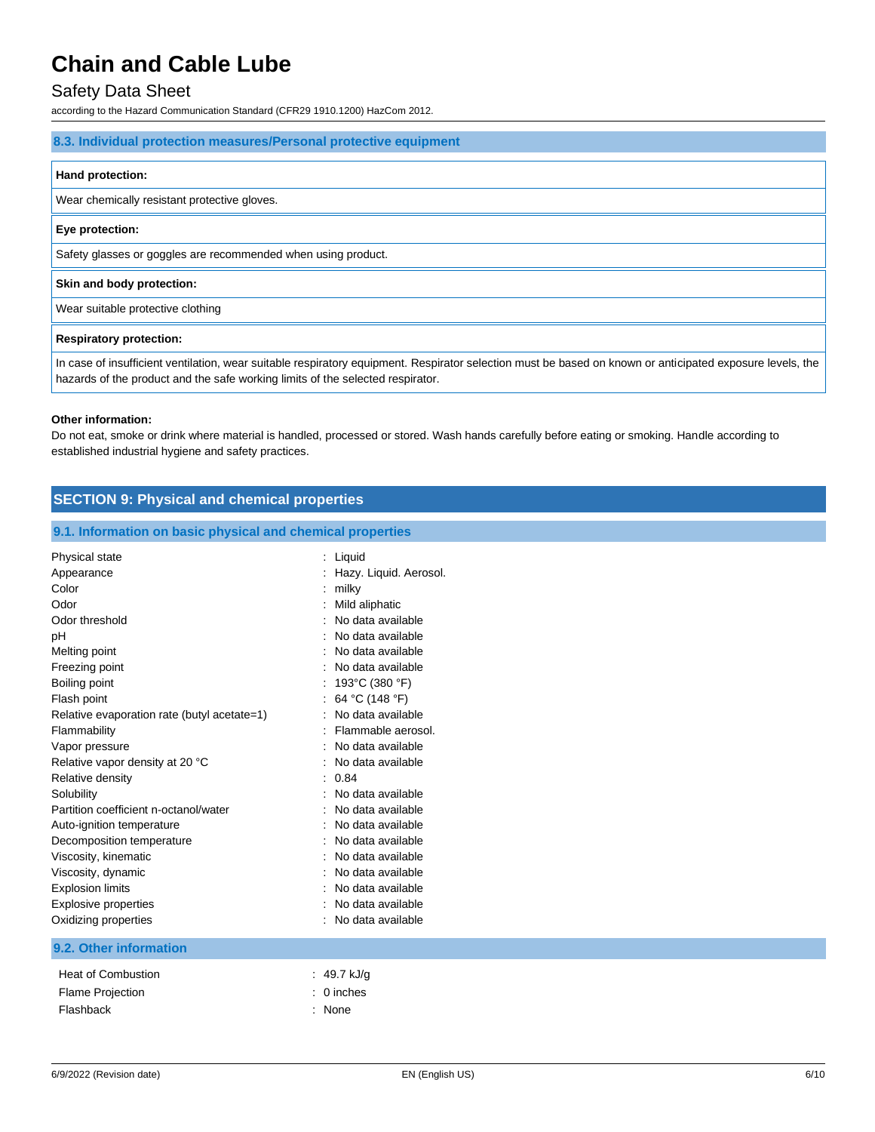### Safety Data Sheet

according to the Hazard Communication Standard (CFR29 1910.1200) HazCom 2012.

#### **8.3. Individual protection measures/Personal protective equipment**

#### **Hand protection:**

Wear chemically resistant protective gloves.

#### **Eye protection:**

Safety glasses or goggles are recommended when using product.

#### **Skin and body protection:**

Wear suitable protective clothing

#### **Respiratory protection:**

In case of insufficient ventilation, wear suitable respiratory equipment. Respirator selection must be based on known or anticipated exposure levels, the hazards of the product and the safe working limits of the selected respirator.

#### **Other information:**

Do not eat, smoke or drink where material is handled, processed or stored. Wash hands carefully before eating or smoking. Handle according to established industrial hygiene and safety practices.

## **SECTION 9: Physical and chemical properties**

#### **9.1. Information on basic physical and chemical properties**

| Physical state                              | Liquid                 |
|---------------------------------------------|------------------------|
| Appearance                                  | Hazy. Liquid. Aerosol. |
| Color                                       | milky                  |
| Odor                                        | Mild aliphatic         |
| Odor threshold                              | No data available      |
| pH                                          | No data available      |
| Melting point                               | No data available      |
| Freezing point                              | No data available      |
| Boiling point                               | 193°C (380 °F)         |
| Flash point                                 | 64 °C (148 °F)<br>÷.   |
| Relative evaporation rate (butyl acetate=1) | No data available      |
| Flammability                                | Flammable aerosol.     |
| Vapor pressure                              | No data available      |
| Relative vapor density at 20 °C             | No data available      |
| Relative density                            | 0.84                   |
| Solubility                                  | No data available      |
| Partition coefficient n-octanol/water       | No data available      |
| Auto-ignition temperature                   | No data available      |
| Decomposition temperature                   | No data available      |
| Viscosity, kinematic                        | No data available      |
| Viscosity, dynamic                          | No data available      |
| <b>Explosion limits</b>                     | No data available      |
| <b>Explosive properties</b>                 | No data available      |
| Oxidizing properties                        | No data available      |
|                                             |                        |
| 9.2. Other information                      |                        |
| <b>Heat of Combustion</b>                   | 49.7 kJ/g              |
| <b>Flame Projection</b>                     | 0 inches               |

Flashback : None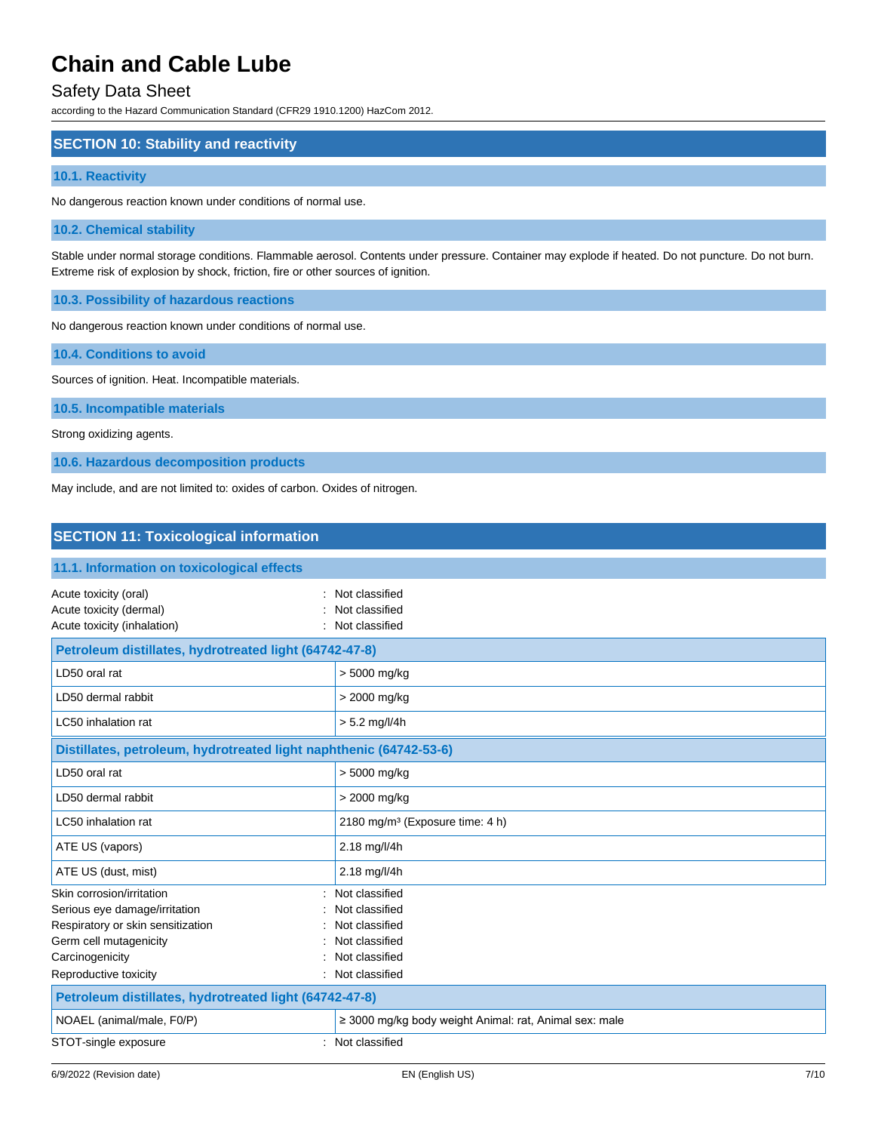### Safety Data Sheet

according to the Hazard Communication Standard (CFR29 1910.1200) HazCom 2012.

### **SECTION 10: Stability and reactivity**

#### **10.1. Reactivity**

No dangerous reaction known under conditions of normal use.

#### **10.2. Chemical stability**

Stable under normal storage conditions. Flammable aerosol. Contents under pressure. Container may explode if heated. Do not puncture. Do not burn. Extreme risk of explosion by shock, friction, fire or other sources of ignition.

**10.3. Possibility of hazardous reactions**

No dangerous reaction known under conditions of normal use.

**10.4. Conditions to avoid**

Sources of ignition. Heat. Incompatible materials.

**10.5. Incompatible materials**

Strong oxidizing agents.

**10.6. Hazardous decomposition products**

May include, and are not limited to: oxides of carbon. Oxides of nitrogen.

### **SECTION 11: Toxicological information**

| 11.1. Information on toxicological effects                                                                                                   |                                                                                        |  |
|----------------------------------------------------------------------------------------------------------------------------------------------|----------------------------------------------------------------------------------------|--|
| Acute toxicity (oral)<br>Acute toxicity (dermal)<br>Acute toxicity (inhalation)                                                              | Not classified<br>Not classified<br>Not classified                                     |  |
| Petroleum distillates, hydrotreated light (64742-47-8)                                                                                       |                                                                                        |  |
| LD50 oral rat                                                                                                                                | > 5000 mg/kg                                                                           |  |
| LD50 dermal rabbit                                                                                                                           | > 2000 mg/kg                                                                           |  |
| LC50 inhalation rat                                                                                                                          | $> 5.2$ mg/l/4h                                                                        |  |
| Distillates, petroleum, hydrotreated light naphthenic (64742-53-6)                                                                           |                                                                                        |  |
| LD50 oral rat                                                                                                                                | > 5000 mg/kg                                                                           |  |
| LD50 dermal rabbit                                                                                                                           | > 2000 mg/kg                                                                           |  |
| LC50 inhalation rat                                                                                                                          | 2180 mg/m <sup>3</sup> (Exposure time: 4 h)                                            |  |
| ATE US (vapors)                                                                                                                              | 2.18 mg/l/4h                                                                           |  |
| ATE US (dust, mist)                                                                                                                          | 2.18 mg/l/4h                                                                           |  |
| Skin corrosion/irritation<br>Serious eye damage/irritation<br>Respiratory or skin sensitization<br>Germ cell mutagenicity<br>Carcinogenicity | Not classified<br>Not classified<br>Not classified<br>Not classified<br>Not classified |  |
| Reproductive toxicity                                                                                                                        | Not classified                                                                         |  |
| Petroleum distillates, hydrotreated light (64742-47-8)                                                                                       |                                                                                        |  |
| NOAEL (animal/male, F0/P)                                                                                                                    | $\geq$ 3000 mg/kg body weight Animal: rat, Animal sex: male                            |  |
| STOT-single exposure                                                                                                                         | Not classified                                                                         |  |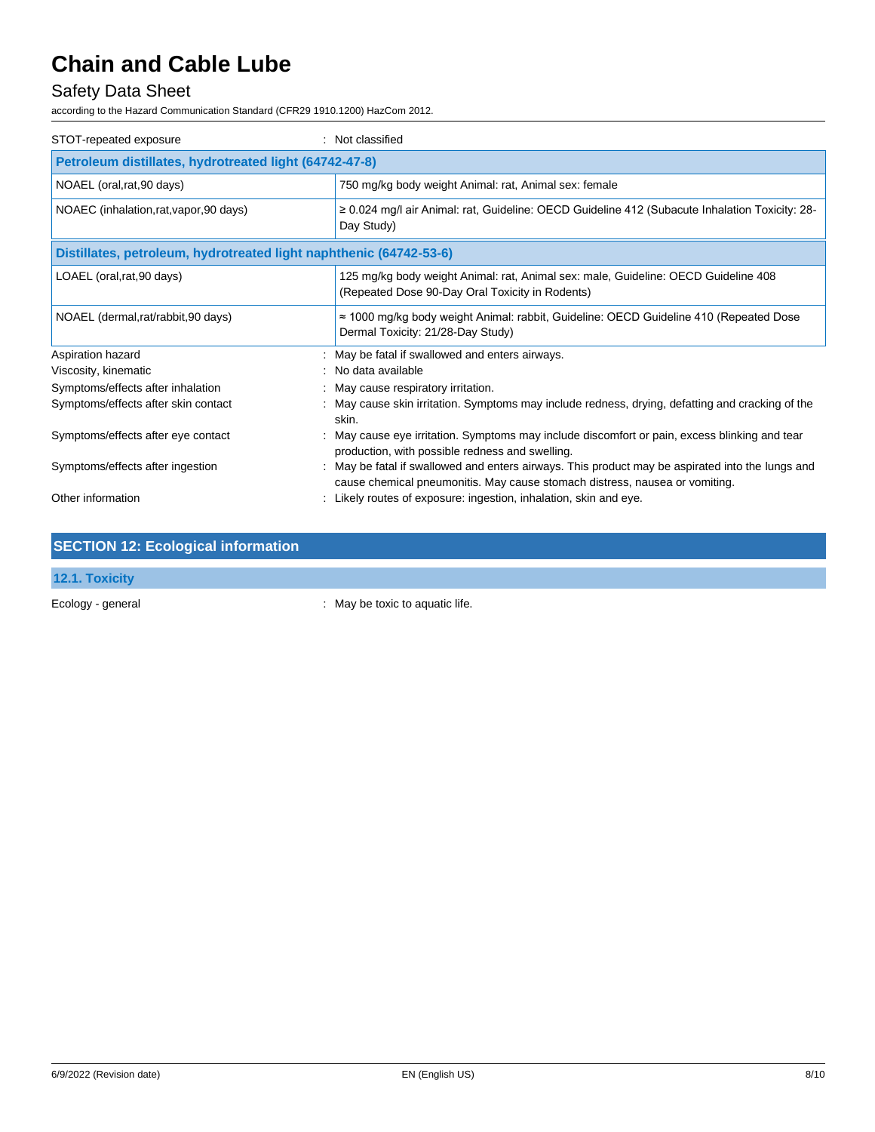## Safety Data Sheet

according to the Hazard Communication Standard (CFR29 1910.1200) HazCom 2012.

| STOT-repeated exposure                                             | Not classified                                                                                                                                                                |  |
|--------------------------------------------------------------------|-------------------------------------------------------------------------------------------------------------------------------------------------------------------------------|--|
| Petroleum distillates, hydrotreated light (64742-47-8)             |                                                                                                                                                                               |  |
| NOAEL (oral, rat, 90 days)                                         | 750 mg/kg body weight Animal: rat, Animal sex: female                                                                                                                         |  |
| NOAEC (inhalation, rat, vapor, 90 days)                            | ≥ 0.024 mg/l air Animal: rat, Guideline: OECD Guideline 412 (Subacute Inhalation Toxicity: 28-<br>Day Study)                                                                  |  |
| Distillates, petroleum, hydrotreated light naphthenic (64742-53-6) |                                                                                                                                                                               |  |
| LOAEL (oral, rat, 90 days)                                         | 125 mg/kg body weight Animal: rat, Animal sex: male, Guideline: OECD Guideline 408<br>(Repeated Dose 90-Day Oral Toxicity in Rodents)                                         |  |
| NOAEL (dermal, rat/rabbit, 90 days)                                | $\approx$ 1000 mg/kg body weight Animal: rabbit, Guideline: OECD Guideline 410 (Repeated Dose<br>Dermal Toxicity: 21/28-Day Study)                                            |  |
| Aspiration hazard                                                  | May be fatal if swallowed and enters airways.                                                                                                                                 |  |
| Viscosity, kinematic                                               | No data available                                                                                                                                                             |  |
| Symptoms/effects after inhalation                                  | May cause respiratory irritation.                                                                                                                                             |  |
| Symptoms/effects after skin contact                                | May cause skin irritation. Symptoms may include redness, drying, defatting and cracking of the<br>skin.                                                                       |  |
| Symptoms/effects after eye contact                                 | May cause eye irritation. Symptoms may include discomfort or pain, excess blinking and tear<br>production, with possible redness and swelling.                                |  |
| Symptoms/effects after ingestion                                   | May be fatal if swallowed and enters airways. This product may be aspirated into the lungs and<br>cause chemical pneumonitis. May cause stomach distress, nausea or vomiting. |  |
| Other information                                                  | Likely routes of exposure: ingestion, inhalation, skin and eye.                                                                                                               |  |

| <b>SECTION 12: Ecological information</b> |  |
|-------------------------------------------|--|
|                                           |  |

### **12.1. Toxicity**

Ecology - general interval in the second of the second of the second of the second of the second of the second of the second of the second of the second of the second of the second of the second of the second of the second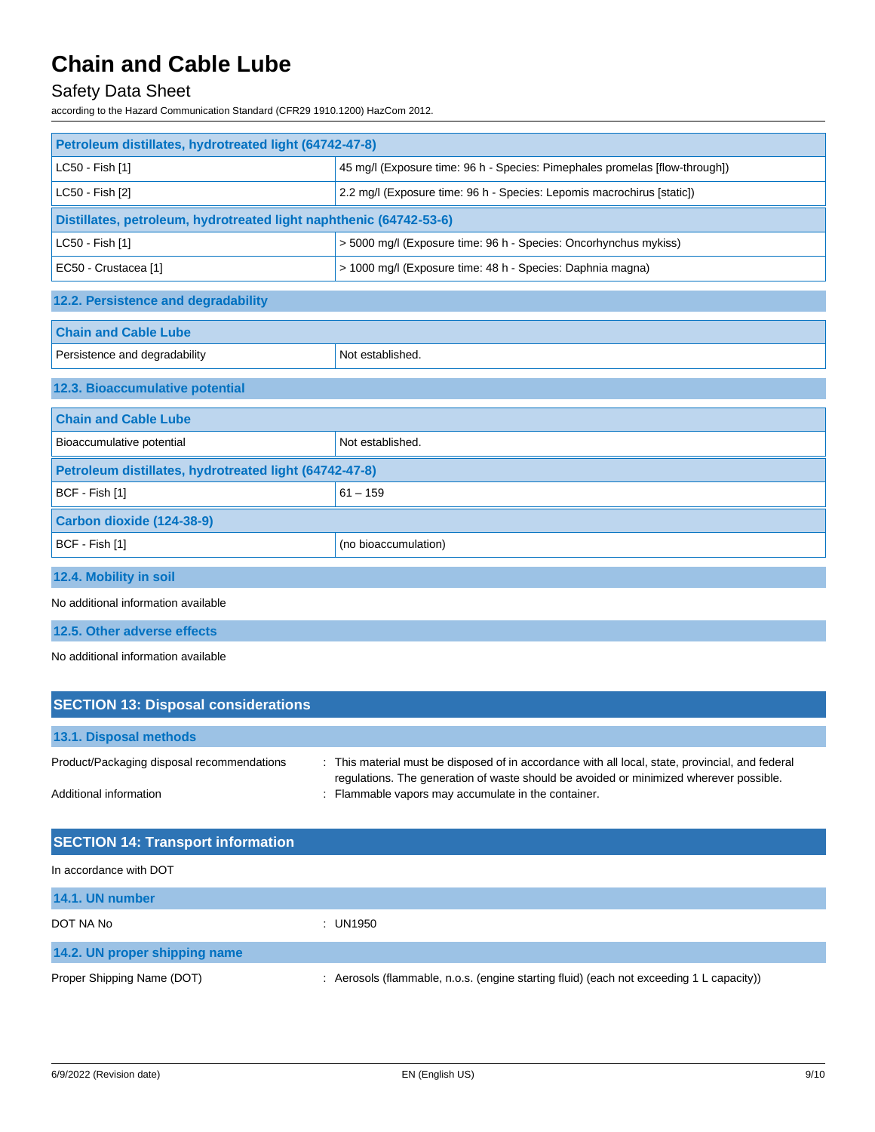## Safety Data Sheet

according to the Hazard Communication Standard (CFR29 1910.1200) HazCom 2012.

| Petroleum distillates, hydrotreated light (64742-47-8)             |                                                                             |  |
|--------------------------------------------------------------------|-----------------------------------------------------------------------------|--|
| LC50 - Fish [1]                                                    | 45 mg/l (Exposure time: 96 h - Species: Pimephales promelas [flow-through]) |  |
| LC50 - Fish [2]                                                    | 2.2 mg/l (Exposure time: 96 h - Species: Lepomis macrochirus [static])      |  |
| Distillates, petroleum, hydrotreated light naphthenic (64742-53-6) |                                                                             |  |
| LC50 - Fish [1]                                                    | > 5000 mg/l (Exposure time: 96 h - Species: Oncorhynchus mykiss)            |  |
| EC50 - Crustacea [1]                                               | > 1000 mg/l (Exposure time: 48 h - Species: Daphnia magna)                  |  |
| 12.2. Persistence and degradability                                |                                                                             |  |
| <b>Chain and Cable Lube</b>                                        |                                                                             |  |
| Persistence and degradability                                      | Not established.                                                            |  |
| 12.3. Bioaccumulative potential                                    |                                                                             |  |
| <b>Chain and Cable Lube</b>                                        |                                                                             |  |
| Bioaccumulative potential                                          | Not established.                                                            |  |
| Petroleum distillates, hydrotreated light (64742-47-8)             |                                                                             |  |
| BCF - Fish [1]                                                     | $61 - 159$                                                                  |  |
| Carbon dioxide (124-38-9)                                          |                                                                             |  |
| BCF - Fish [1]                                                     | (no bioaccumulation)                                                        |  |
| 12.4. Mobility in soil                                             |                                                                             |  |
| No additional information available                                |                                                                             |  |
| 12.5. Other adverse effects                                        |                                                                             |  |

No additional information available

| <b>SECTION 13: Disposal considerations</b> |                                                                                                                                                                                          |
|--------------------------------------------|------------------------------------------------------------------------------------------------------------------------------------------------------------------------------------------|
| 13.1. Disposal methods                     |                                                                                                                                                                                          |
| Product/Packaging disposal recommendations | This material must be disposed of in accordance with all local, state, provincial, and federal<br>regulations. The generation of waste should be avoided or minimized wherever possible. |
| Additional information                     | Flammable vapors may accumulate in the container.                                                                                                                                        |

| <b>SECTION 14: Transport information</b> |                                                                                          |
|------------------------------------------|------------------------------------------------------------------------------------------|
| In accordance with DOT                   |                                                                                          |
| 14.1. UN number                          |                                                                                          |
| DOT NA No                                | : UN1950                                                                                 |
| 14.2. UN proper shipping name            |                                                                                          |
| Proper Shipping Name (DOT)               | : Aerosols (flammable, n.o.s. (engine starting fluid) (each not exceeding 1 L capacity)) |